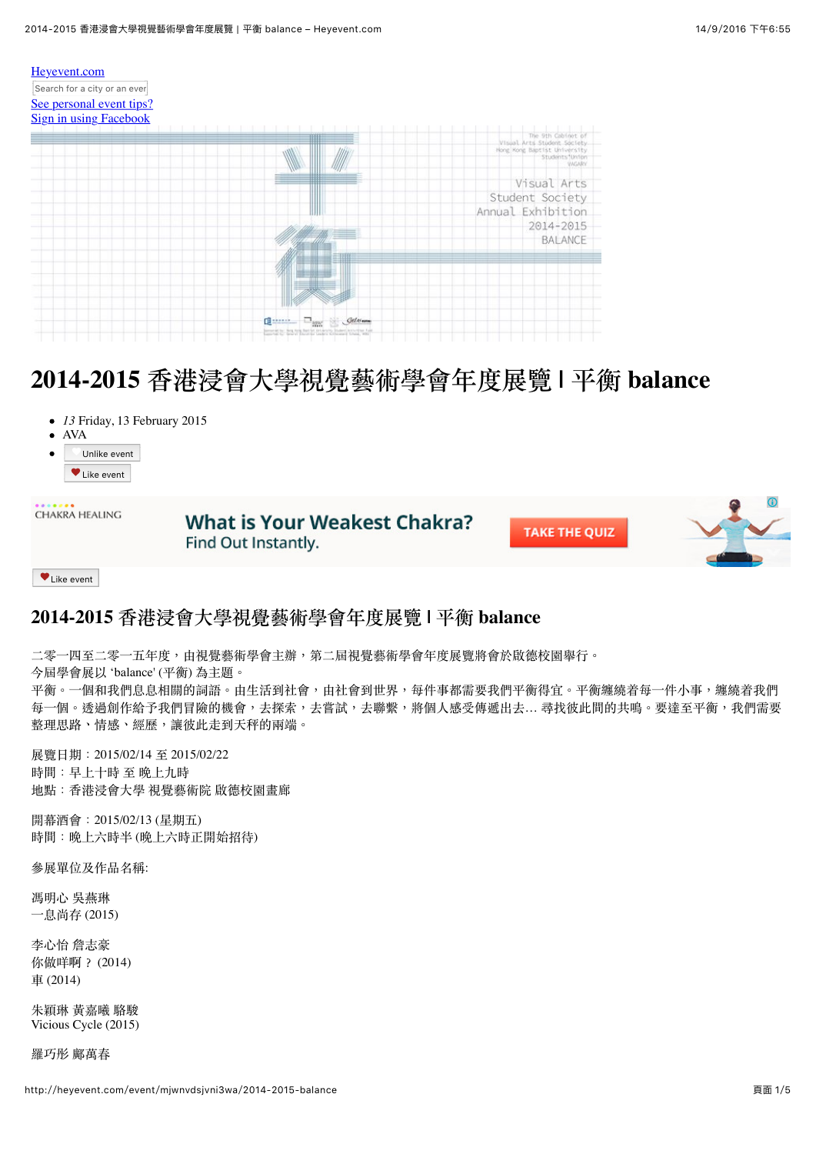

# 2014-2015 香港浸會大學視覺藝術學會年度展覽 | 平衡 balance

- *13* Friday, 13 February 2015
- $\bullet$ AVA

 $\bullet$ 

Unlike event Like event

| CHAKRA HEALING | <b>What is Your Weakest Chakra?</b><br>Find Out Instantly. | <b>TAKE THE QUIZ</b> |  |
|----------------|------------------------------------------------------------|----------------------|--|
| Like event     |                                                            |                      |  |

## 2014-2015 香港浸會大學視覺藝術學會年度展覽 | 平衡 balance

二零一四至二零一五年度,由視覺藝術學會主辦,第二屆視覺藝術學會年度展覽將會於啟德校園舉行。 今屆學會展以'balance' (平衡)為主題。 平衡。一個和我們息息相關的詞語。由生活到社會,由社會到世界,每件事都需要我們平衡得宜。平衡纏繞着每一件小事,纏繞着我們 每一個。透過創作給予我們冒險的機會,去探索,去嘗試,去聯繫,將個人感受傳遞出去... 尋找彼此間的共鳴。要達至平衡,我們需要 整理思路、情感、經歷,讓彼此走到天秤的兩端。

展覽日期: 2015/02/14 至 2015/02/22 時間:早上十時至晚上九時 地點:香港浸會大學 視覺藝術院 啟德校園畫廊

開墓酒會: 2015/02/13 (星期五) 時間:晚上六時半(晚上六時正開始招待)

參展單位及作品名稱:

馮明心 吳燕琳 一息尚存 (2015)

李心怡 詹志豪 你做咩啊? (2014) 車 (2014)

朱穎琳 黃嘉曦 駱駿 Vicious Cycle (2015)

羅巧彤 鄺萬春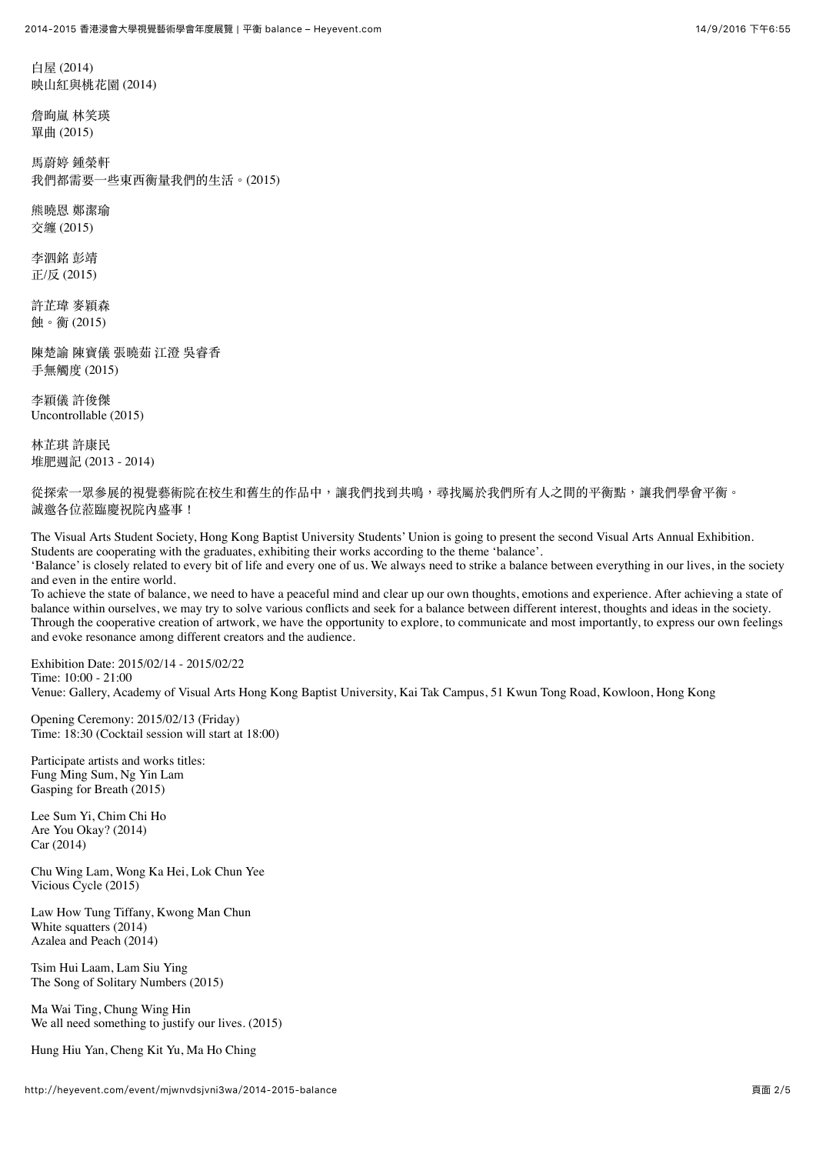白屋 (2014) 映山紅與桃花園 (2014)

詹朐嵐 林笑瑛 單曲(2015)

馬蔚婷 鋪拳軒 我們都需要一些東西衡量我們的生活。(2015)

熊曉恩 鄭潔瑜 交纏 (2015)

李泗銘 彭靖 正/反 (2015)

許芷瑋 麥穎森 蝕。衡(2015)

陳楚諭 陳寶儀 張曉茹 江澄 吳睿香 手無觸度 (2015)

李穎儀 許俊傑 Uncontrollable (2015)

林芷琪 許康民 堆肥调記 (2013 - 2014)

從探索一眾參展的視覺藝術院在校生和舊生的作品中,讓我們找到共鳴,尋找屬於我們所有人之間的平衡點,讓我們學會平衡。 誠激各位蒞臨慶祝院內盛事!

The Visual Arts Student Society, Hong Kong Baptist University Students' Union is going to present the second Visual Arts Annual Exhibition. Students are cooperating with the graduates, exhibiting their works according to the theme 'balance'.

'Balance' is closely related to every bit of life and every one of us. We always need to strike a balance between everything in our lives, in the society and even in the entire world.

To achieve the state of balance, we need to have a peaceful mind and clear up our own thoughts, emotions and experience. After achieving a state of balance within ourselves, we may try to solve various conflicts and seek for a balance between different interest, thoughts and ideas in the society. Through the cooperative creation of artwork, we have the opportunity to explore, to communicate and most importantly, to express our own feelings and evoke resonance among different creators and the audience.

Exhibition Date: 2015/02/14 - 2015/02/22 Time: 10:00 - 21:00 Venue: Gallery, Academy of Visual Arts Hong Kong Baptist University, Kai Tak Campus, 51 Kwun Tong Road, Kowloon, Hong Kong

Opening Ceremony: 2015/02/13 (Friday) Time: 18:30 (Cocktail session will start at 18:00)

Participate artists and works titles: Fung Ming Sum, Ng Yin Lam Gasping for Breath (2015)

Lee Sum Yi, Chim Chi Ho Are You Okay? (2014) Car (2014)

Chu Wing Lam, Wong Ka Hei, Lok Chun Yee Vicious Cycle (2015)

Law How Tung Tiffany, Kwong Man Chun White squatters (2014) Azalea and Peach (2014)

Tsim Hui Laam, Lam Siu Ying The Song of Solitary Numbers (2015)

Ma Wai Ting, Chung Wing Hin We all need something to justify our lives. (2015)

Hung Hiu Yan, Cheng Kit Yu, Ma Ho Ching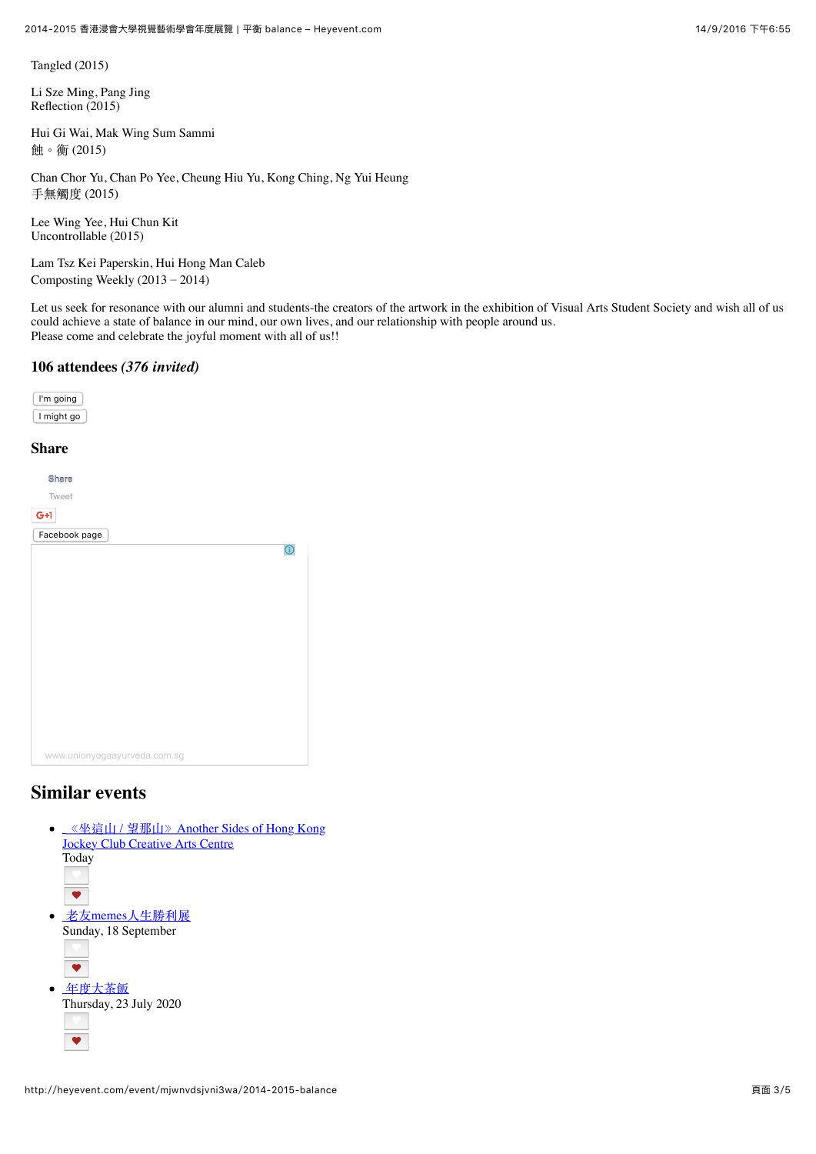Tangled (2015)

Li Sze Ming, Pang Jing Reflection (2015)

Hui Gi Wai, Mak Wing Sum Sammi 蝕。衡(2015)

Chan Chor Yu, Chan Po Yee, Cheung Hiu Yu, Kong Ching, Ng Yui Heung 手無觸度 (2015)

Lee Wing Yee, Hui Chun Kit Uncontrollable (2015)

Lam Tsz Kei Paperskin, Hui Hong Man Caleb Composting Weekly  $(2013 – 2014)$ 

Let us seek for resonance with our alumni and students-the creators of the artwork in the exhibition of Visual Arts Student Society and wish all of us could achieve a state of balance in our mind, our own lives, and our relationship with people around us. Please come and celebrate the joyful moment with all of us!!

## **106 attendees** *(376 invited)*

| I'm going  |
|------------|
| I might go |

## **Share**

| $G+1$<br>Facebook page<br>$\odot$ |
|-----------------------------------|
|                                   |
|                                   |
|                                   |
|                                   |
|                                   |
|                                   |
|                                   |
|                                   |
|                                   |
|                                   |
|                                   |
|                                   |
|                                   |
| www.unionyogaayurveda.com.sg      |

## **Similar events**

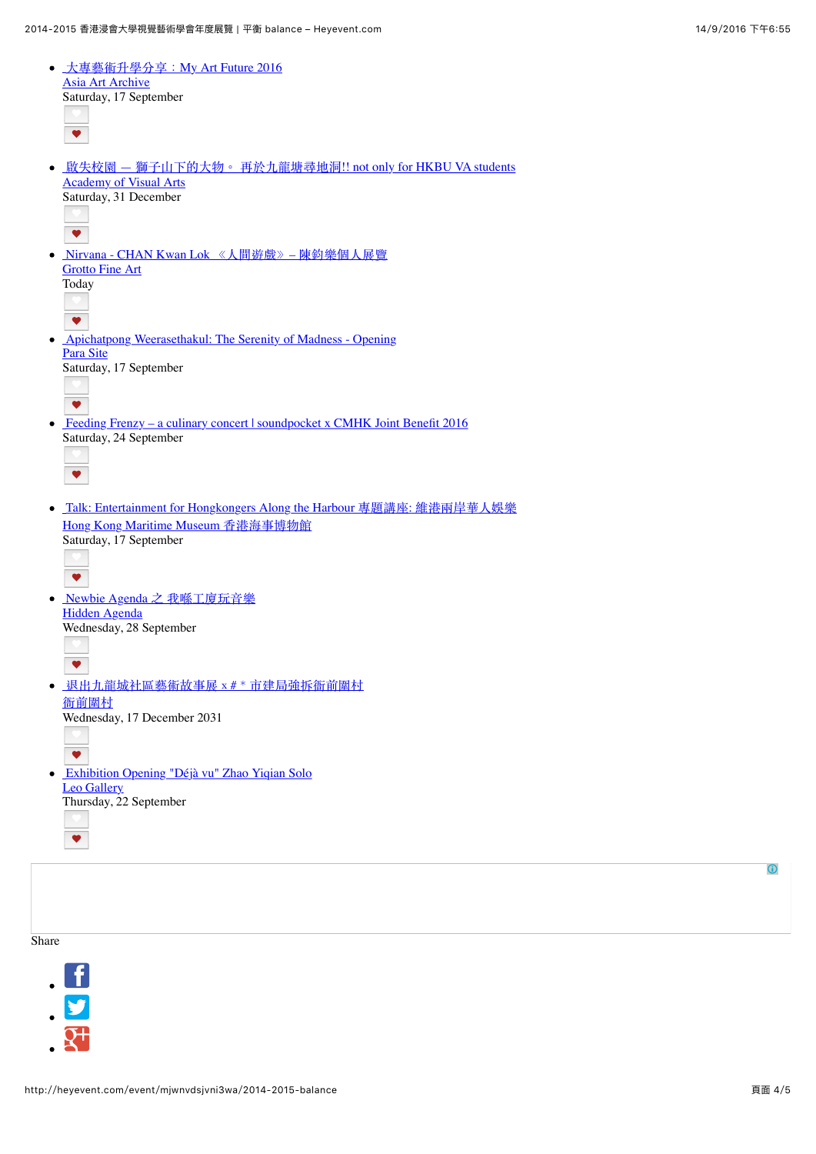| • 大專藝術升學分享: My Art Future 2016                                                                                                           |  |
|------------------------------------------------------------------------------------------------------------------------------------------|--|
| <b>Asia Art Archive</b><br>Saturday, 17 September                                                                                        |  |
| $\blacktriangledown$                                                                                                                     |  |
| <b>啟失校園 — 獅子山下的大物。 再於九龍塘尋地洞!! not only for HKBU VA students</b><br>٠<br><b>Academy of Visual Arts</b><br>Saturday, 31 December           |  |
| $\blacktriangledown$                                                                                                                     |  |
| Nirvana - CHAN Kwan Lok 《人間遊戲》 - 陳鈞樂個人展覽<br>$\bullet$<br><b>Grotto Fine Art</b><br>Today<br>$\bullet$                                    |  |
| <b>Apichatpong Weerasethakul: The Serenity of Madness - Opening</b><br>$\bullet$<br>Para Site<br>Saturday, 17 September                  |  |
| $\bullet$<br>Feeding Frenzy – a culinary concert   soundpocket x CMHK Joint Benefit 2016<br>٠<br>Saturday, 24 September                  |  |
| ♥                                                                                                                                        |  |
| Talk: Entertainment for Hongkongers Along the Harbour 專題講座: 維港兩岸華人娛樂<br>٠<br>Hong Kong Maritime Museum 香港海事博物館<br>Saturday, 17 September |  |
| $\bullet$<br>Newbie Agenda 之 我喺工廈玩音樂<br>$\bullet$                                                                                        |  |
| <b>Hidden Agenda</b><br>Wednesday, 28 September<br>$\blacktriangledown$                                                                  |  |
| 迟出九龍城社區藝術故事展 x # * 市建局強拆衙前圍村<br>衙前圍村                                                                                                     |  |
| Wednesday, 17 December 2031<br>$\overline{\textbf{v}}$                                                                                   |  |
| Exhibition Opening "Déjà vu" Zhao Yiqian Solo<br>$\bullet$<br><b>Leo Gallery</b>                                                         |  |
| Thursday, 22 September                                                                                                                   |  |
| ♥                                                                                                                                        |  |
|                                                                                                                                          |  |

Share



 $\bigcirc$